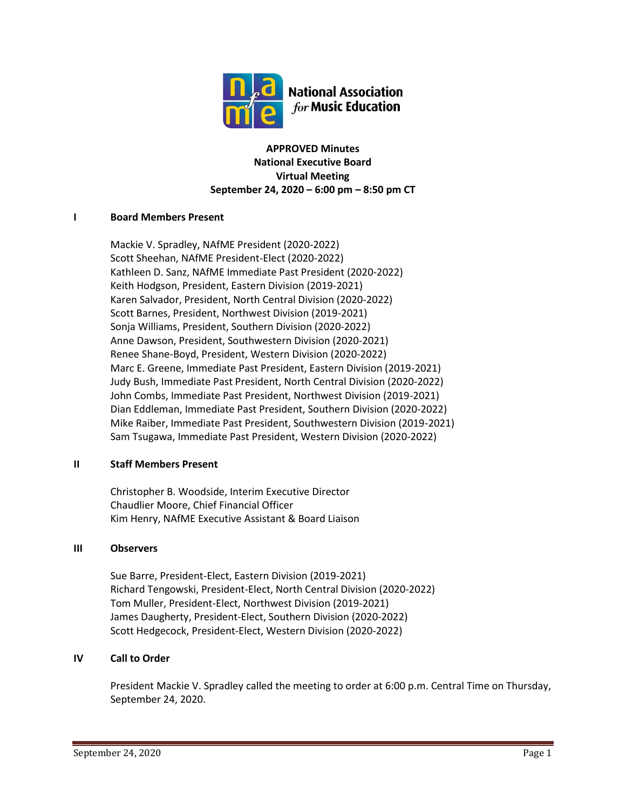

**APPROVED Minutes National Executive Board Virtual Meeting September 24, 2020 – 6:00 pm – 8:50 pm CT**

# **I Board Members Present**

Mackie V. Spradley, NAfME President (2020-2022) Scott Sheehan, NAfME President-Elect (2020-2022) Kathleen D. Sanz, NAfME Immediate Past President (2020-2022) Keith Hodgson, President, Eastern Division (2019-2021) Karen Salvador, President, North Central Division (2020-2022) Scott Barnes, President, Northwest Division (2019-2021) Sonja Williams, President, Southern Division (2020-2022) Anne Dawson, President, Southwestern Division (2020-2021) Renee Shane-Boyd, President, Western Division (2020-2022) Marc E. Greene, Immediate Past President, Eastern Division (2019-2021) Judy Bush, Immediate Past President, North Central Division (2020-2022) John Combs, Immediate Past President, Northwest Division (2019-2021) Dian Eddleman, Immediate Past President, Southern Division (2020-2022) Mike Raiber, Immediate Past President, Southwestern Division (2019-2021) Sam Tsugawa, Immediate Past President, Western Division (2020-2022)

# **II Staff Members Present**

Christopher B. Woodside, Interim Executive Director Chaudlier Moore, Chief Financial Officer Kim Henry, NAfME Executive Assistant & Board Liaison

# **III Observers**

Sue Barre, President-Elect, Eastern Division (2019-2021) Richard Tengowski, President-Elect, North Central Division (2020-2022) Tom Muller, President-Elect, Northwest Division (2019-2021) James Daugherty, President-Elect, Southern Division (2020-2022) Scott Hedgecock, President-Elect, Western Division (2020-2022)

# **IV Call to Order**

President Mackie V. Spradley called the meeting to order at 6:00 p.m. Central Time on Thursday, September 24, 2020.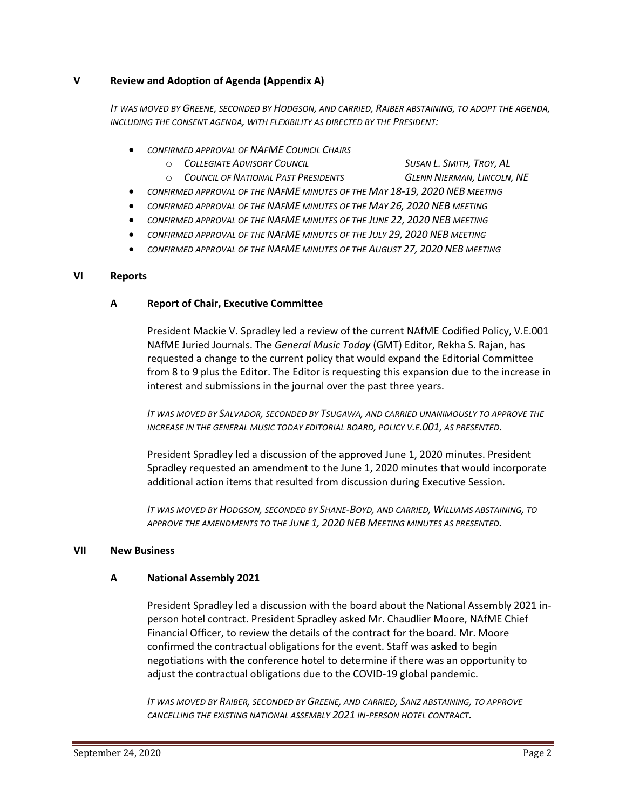# **V Review and Adoption of Agenda (Appendix A)**

*IT WAS MOVED BY GREENE, SECONDED BY HODGSON, AND CARRIED, RAIBER ABSTAINING, TO ADOPT THE AGENDA, INCLUDING THE CONSENT AGENDA, WITH FLEXIBILITY AS DIRECTED BY THE PRESIDENT:*

- *CONFIRMED APPROVAL OF NAFME COUNCIL CHAIRS*
	- o *COLLEGIATE ADVISORY COUNCIL SUSAN L. SMITH, TROY, AL*
		-
	- o *COUNCIL OF NATIONAL PAST PRESIDENTS GLENN NIERMAN, LINCOLN, NE*
- *CONFIRMED APPROVAL OF THE NAFME MINUTES OF THE MAY 18-19, 2020 NEB MEETING*
- *CONFIRMED APPROVAL OF THE NAFME MINUTES OF THE MAY 26, 2020 NEB MEETING*
- *CONFIRMED APPROVAL OF THE NAFME MINUTES OF THE JUNE 22, 2020 NEB MEETING*
- *CONFIRMED APPROVAL OF THE NAFME MINUTES OF THE JULY 29, 2020 NEB MEETING*
- *CONFIRMED APPROVAL OF THE NAFME MINUTES OF THE AUGUST 27, 2020 NEB MEETING*

#### **VI Reports**

# **A Report of Chair, Executive Committee**

President Mackie V. Spradley led a review of the current NAfME Codified Policy, V.E.001 NAfME Juried Journals. The *General Music Today* (GMT) Editor, Rekha S. Rajan, has requested a change to the current policy that would expand the Editorial Committee from 8 to 9 plus the Editor. The Editor is requesting this expansion due to the increase in interest and submissions in the journal over the past three years.

*IT WAS MOVED BY SALVADOR, SECONDED BY TSUGAWA, AND CARRIED UNANIMOUSLY TO APPROVE THE INCREASE IN THE GENERAL MUSIC TODAY EDITORIAL BOARD, POLICY V.E.001, AS PRESENTED.*

President Spradley led a discussion of the approved June 1, 2020 minutes. President Spradley requested an amendment to the June 1, 2020 minutes that would incorporate additional action items that resulted from discussion during Executive Session.

*IT WAS MOVED BY HODGSON, SECONDED BY SHANE-BOYD, AND CARRIED, WILLIAMS ABSTAINING, TO APPROVE THE AMENDMENTS TO THE JUNE 1, 2020 NEB MEETING MINUTES AS PRESENTED.* 

#### **VII New Business**

# **A National Assembly 2021**

President Spradley led a discussion with the board about the National Assembly 2021 inperson hotel contract. President Spradley asked Mr. Chaudlier Moore, NAfME Chief Financial Officer, to review the details of the contract for the board. Mr. Moore confirmed the contractual obligations for the event. Staff was asked to begin negotiations with the conference hotel to determine if there was an opportunity to adjust the contractual obligations due to the COVID-19 global pandemic.

*IT WAS MOVED BY RAIBER, SECONDED BY GREENE, AND CARRIED, SANZ ABSTAINING, TO APPROVE CANCELLING THE EXISTING NATIONAL ASSEMBLY 2021 IN-PERSON HOTEL CONTRACT.*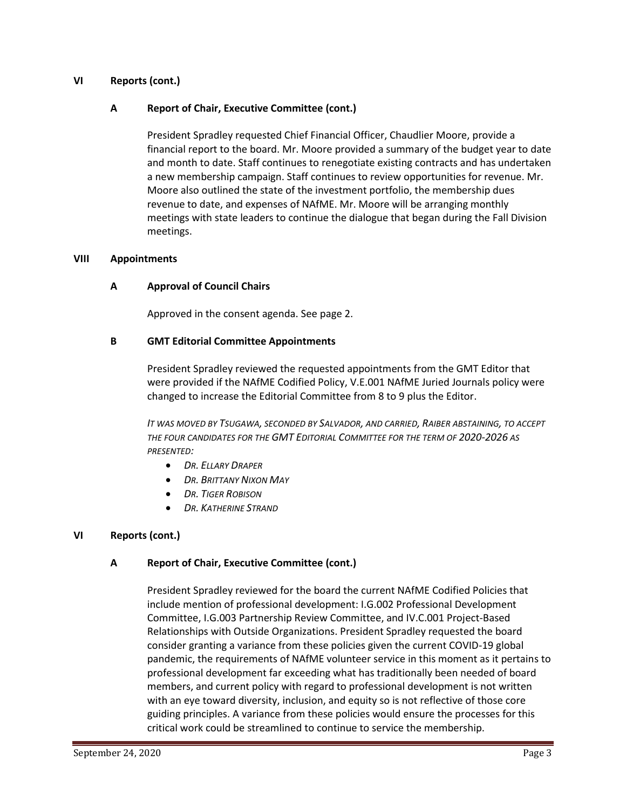# **VI Reports (cont.)**

#### **A Report of Chair, Executive Committee (cont.)**

President Spradley requested Chief Financial Officer, Chaudlier Moore, provide a financial report to the board. Mr. Moore provided a summary of the budget year to date and month to date. Staff continues to renegotiate existing contracts and has undertaken a new membership campaign. Staff continues to review opportunities for revenue. Mr. Moore also outlined the state of the investment portfolio, the membership dues revenue to date, and expenses of NAfME. Mr. Moore will be arranging monthly meetings with state leaders to continue the dialogue that began during the Fall Division meetings.

#### **VIII Appointments**

#### **A Approval of Council Chairs**

Approved in the consent agenda. See page 2.

#### **B GMT Editorial Committee Appointments**

President Spradley reviewed the requested appointments from the GMT Editor that were provided if the NAfME Codified Policy, V.E.001 NAfME Juried Journals policy were changed to increase the Editorial Committee from 8 to 9 plus the Editor.

*IT WAS MOVED BY TSUGAWA, SECONDED BY SALVADOR, AND CARRIED, RAIBER ABSTAINING, TO ACCEPT THE FOUR CANDIDATES FOR THE GMT EDITORIAL COMMITTEE FOR THE TERM OF 2020-2026 AS PRESENTED:*

- *DR. ELLARY DRAPER*
- *DR. BRITTANY NIXON MAY*
- *DR. TIGER ROBISON*
- *DR. KATHERINE STRAND*

# **VI Reports (cont.)**

# **A Report of Chair, Executive Committee (cont.)**

President Spradley reviewed for the board the current NAfME Codified Policies that include mention of professional development: I.G.002 Professional Development Committee, I.G.003 Partnership Review Committee, and IV.C.001 Project-Based Relationships with Outside Organizations. President Spradley requested the board consider granting a variance from these policies given the current COVID-19 global pandemic, the requirements of NAfME volunteer service in this moment as it pertains to professional development far exceeding what has traditionally been needed of board members, and current policy with regard to professional development is not written with an eye toward diversity, inclusion, and equity so is not reflective of those core guiding principles. A variance from these policies would ensure the processes for this critical work could be streamlined to continue to service the membership.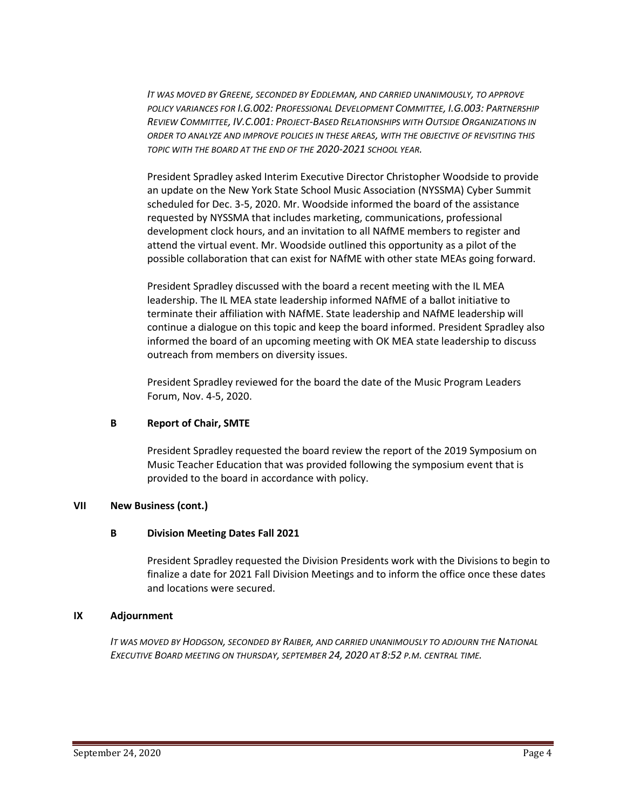*IT WAS MOVED BY GREENE, SECONDED BY EDDLEMAN, AND CARRIED UNANIMOUSLY, TO APPROVE POLICY VARIANCES FOR I.G.002: PROFESSIONAL DEVELOPMENT COMMITTEE, I.G.003: PARTNERSHIP REVIEW COMMITTEE, IV.C.001: PROJECT-BASED RELATIONSHIPS WITH OUTSIDE ORGANIZATIONS IN ORDER TO ANALYZE AND IMPROVE POLICIES IN THESE AREAS, WITH THE OBJECTIVE OF REVISITING THIS TOPIC WITH THE BOARD AT THE END OF THE 2020-2021 SCHOOL YEAR.*

President Spradley asked Interim Executive Director Christopher Woodside to provide an update on the New York State School Music Association (NYSSMA) Cyber Summit scheduled for Dec. 3-5, 2020. Mr. Woodside informed the board of the assistance requested by NYSSMA that includes marketing, communications, professional development clock hours, and an invitation to all NAfME members to register and attend the virtual event. Mr. Woodside outlined this opportunity as a pilot of the possible collaboration that can exist for NAfME with other state MEAs going forward.

President Spradley discussed with the board a recent meeting with the IL MEA leadership. The IL MEA state leadership informed NAfME of a ballot initiative to terminate their affiliation with NAfME. State leadership and NAfME leadership will continue a dialogue on this topic and keep the board informed. President Spradley also informed the board of an upcoming meeting with OK MEA state leadership to discuss outreach from members on diversity issues.

President Spradley reviewed for the board the date of the Music Program Leaders Forum, Nov. 4-5, 2020.

# **B Report of Chair, SMTE**

President Spradley requested the board review the report of the 2019 Symposium on Music Teacher Education that was provided following the symposium event that is provided to the board in accordance with policy.

# **VII New Business (cont.)**

# **B Division Meeting Dates Fall 2021**

President Spradley requested the Division Presidents work with the Divisions to begin to finalize a date for 2021 Fall Division Meetings and to inform the office once these dates and locations were secured.

# **IX Adjournment**

*IT WAS MOVED BY HODGSON, SECONDED BY RAIBER, AND CARRIED UNANIMOUSLY TO ADJOURN THE NATIONAL EXECUTIVE BOARD MEETING ON THURSDAY, SEPTEMBER 24, 2020 AT 8:52 P.M. CENTRAL TIME.*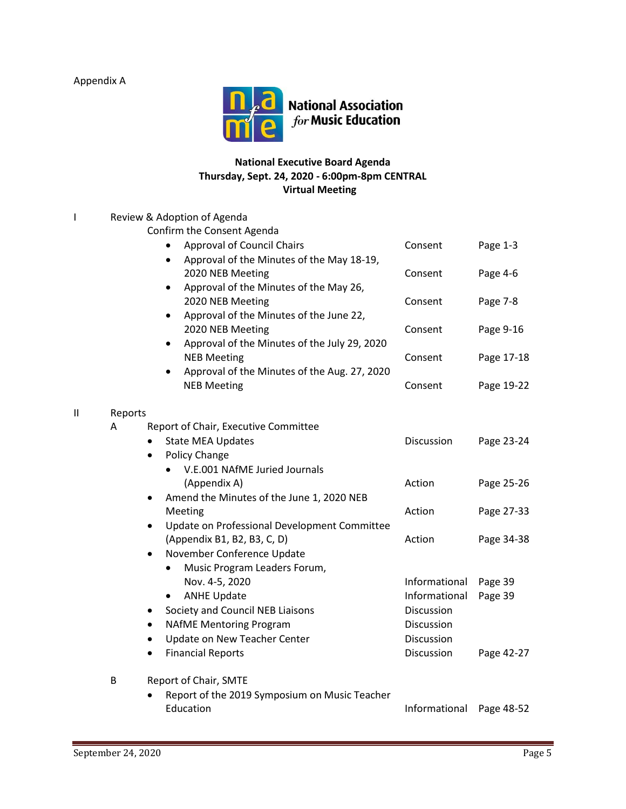Appendix A

I Review & Adoption of Agenda



# **National Executive Board Agenda Thursday, Sept. 24, 2020 - 6:00pm-8pm CENTRAL Virtual Meeting**

# Confirm the Consent Agenda Approval of Council Chairs **Consent** Page 1-3 • Approval of the Minutes of the May 18-19, 2020 NEB Meeting **CONSERVING CONSERVING** Page 4-6 • Approval of the Minutes of the May 26, 2020 NEB Meeting **Consent** Page 7-8 • Approval of the Minutes of the June 22, 2020 NEB Meeting **CONSERVING CONSERVING** Page 9-16 • Approval of the Minutes of the July 29, 2020 NEB Meeting **NEB Meeting Consent** Page 17-18 • Approval of the Minutes of the Aug. 27, 2020 NEB Meeting **NEB** Meeting **Consent** Page 19-22 II Reports A Report of Chair, Executive Committee • State MEA Updates **Discussion** Page 23-24 Policy Change • V.E.001 NAfME Juried Journals (Appendix A) and Action Page 25-26

- Amend the Minutes of the June 1, 2020 NEB Meeting Meeting Action Page 27-33 • Update on Professional Development Committee (Appendix B1, B2, B3, C, D) Action Page 34-38
- November Conference Update • Music Program Leaders Forum, Nov. 4-5, 2020 Informational Page 39 • ANHE Update **Informational** Page 39
- Society and Council NEB Liaisons **Discussion** • NAfME Mentoring Program Discussion Update on New Teacher Center **Example 2** Discussion • Financial Reports Discussion Page 42-27

# B Report of Chair, SMTE

• Report of the 2019 Symposium on Music Teacher Education **Informational** Page 48-52